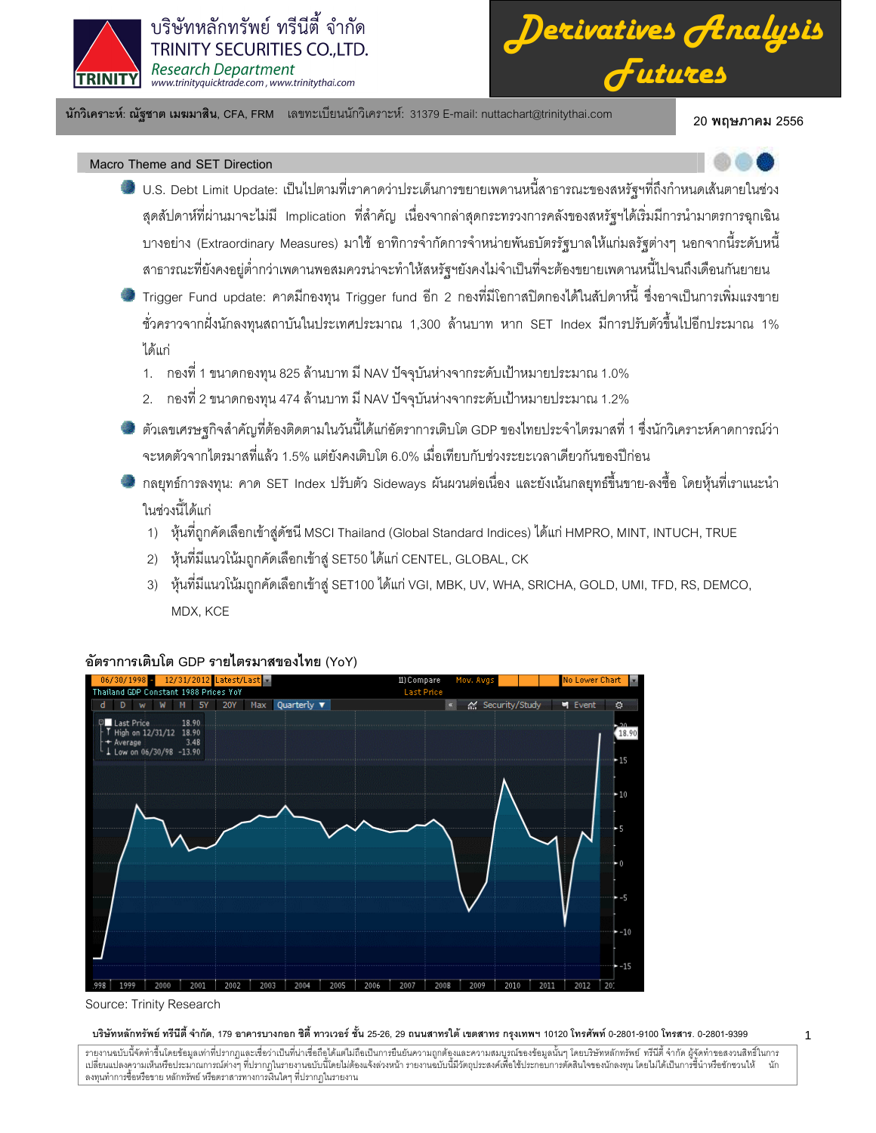

*Derivatives Analysis Futures*

นักวิเคราะห์: ณัฐชาต เมฆมาสิน, CFA, FRM แลขทะเบียนนักวิเคราะห์: 31379 E-mail: nuttachart@trinitythai.com 20 พ

20 พถษภาคม 2556

1

# Macro Theme and SET Direction

- U.S. Debt Limit Update: เป็นไปตามที่เราคาดว่าประเด็นการขยายเพดานหนี้สาธารณะของสหรัฐฯที่ถึงกำหนดเส้นตายในช่วง สุดสัปดาห์ที่ผ่านมาจะไม่มี Implication ที่สำคัญ เนื่องจากล่าสุดกระทรวงการคลังของสหรัฐฯได้เริ่มมีการนำมาตรการฉุกเฉิน บางอย่าง (Extraordinary Measures) มาใช้ อาทิการจำกัดการจำหน่ายพันธบัตรรัฐบาลให้แก่มลรัฐต่างๆ นอกจากนี้ระดับหนี้ สาธารณะที่ยังคงอยู่ต่ำกว่าเพดานพอสมควรน่าจะทำให้สหรัฐฯยังคงไม่จำเป็นที่จะต้องขยายเพดานหนี้ไปจนถึงเดือนกันยายน
- Trigger Fund update: คาดมีกองทุน Trigger fund อีก 2 กองที่มีโอกาสปิดกองได้ในสัปดาห์นี้ ซึ่งอาจเป็นการเพิ่มแรงขาย ชั่วคราวจากฝั่งนักลงทุนสถาบันในประเทศประมาณ 1,300 ล้านบาท หาก SET Index มีการปรับตัวขึ้นไปอีกประมาณ 1% ได้แก่
	- 1. กองที่ 1 ขนาดกองทุน 825 ล้านบาท มี NAV ปัจจุบันห่างจากระดับเป้าหมายประมาณ 1.0%
	- 2. กองที่ 2 ขนาดกองทุน 474 ล้านบาท มี NAV ปัจจุบันห่างจากระดับเป้าหมายประมาณ 1.2%
- ตัวเลขเศรษฐกิจสำคัญที่ต้องติดตามในวันนี้ได้แก่อัตราการเติบโต GDP ของไทยประจำไตรมาสที่ 1 ซึ่งนักวิเคราะห์คาดการณ์ว่า จะหดตัวจากไตรมาสที่แล้ว 1.5% แต่ยังคงเติบโต 6.0% เมื่อเทียบกับช่วงระยะเวลาเดียวกันของปีก่อน
- กลยุทธ์การลงทุน: คาด SET Index ปรับตัว Sideways ผันผวนต่อเนื่อง และยังเน้นกลยุทธ์ขึ้นขาย-ลงซื้อ โดยหุ้นที่เราแนะนำ ในช่วงนี้ได้แก่
	- 1) หุ้นที่ถูกคัดเลือกเข้าสู่ดัชนี MSCI Thailand (Global Standard Indices) ได้แก่ HMPRO, MINT, INTUCH, TRUE
	- 2) หุ้นที่มีแนวโน้มถูกคัดเลือกเข้าสู่ SET50 ได้แก่ CENTEL, GLOBAL, CK
	- 3) หุ้นที่มีแนวโน้มถูกคัดเลือกเข้าสู่ SET100 ได้แก่ VGI, MBK, UV, WHA, SRICHA, GOLD, UMI, TFD, RS, DEMCO, MDX, KCE



# อัตราการเติบโต GDP รายไตรมาสของไทย (YoY)

### บริษัทหลักทรัพย์ ทรีนีตี้ จำกัด, 179 อาคารบางกอก ซิตี้ ทาวเวอร์ ชั้น 25-26, 29 ถนนสาทรใต้ เขตสาท กรุงเทพ 10120 โทรศาร 0-2801-9399 ความ 3399

Source: Trinity Research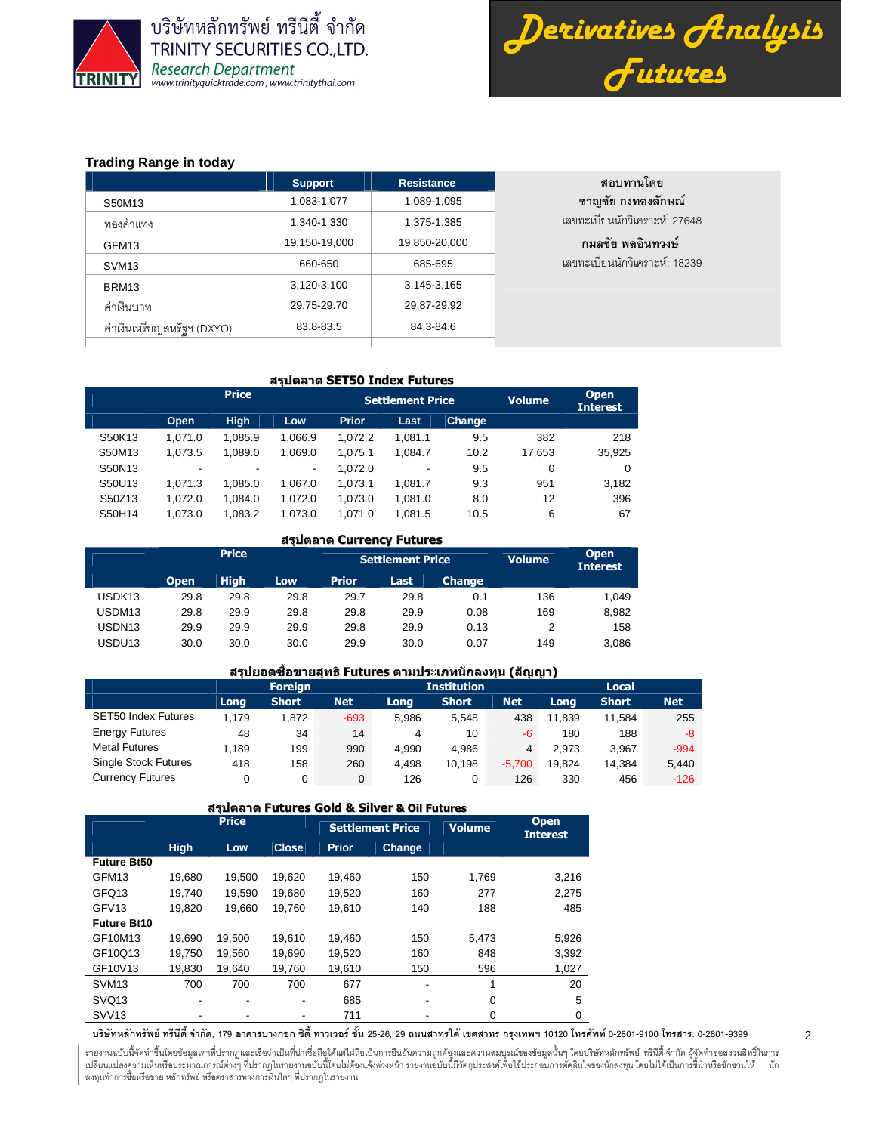

บริษัทหลักทรัพย์ ทรีนีตี้ จำกัด **TRINITY SECURITIES CO., LTD.** Research Department<br>www.trinityquicktrade.com, www.trinitythai.com



2

# **Trading Range in today**

|                            | <b>Support</b> | <b>Resistance</b> | สอบทานโดย                     |
|----------------------------|----------------|-------------------|-------------------------------|
| S50M13                     | 1,083-1,077    | 1,089-1,095       | ชาญชัย กงทองลักษณ์            |
| ทองคำแท่ง                  | 1,340-1,330    | 1,375-1,385       | เลขทะเบียนนักวิเคราะห์: 27648 |
| GFM <sub>13</sub>          | 19,150-19,000  | 19,850-20,000     | ึกมลชัย พลอินทวงษ์            |
| SVM <sub>13</sub>          | 660-650        | 685-695           | เลขทะเบียนนักวิเคราะห์: 18239 |
| BRM <sub>13</sub>          | 3,120-3,100    | 3,145-3,165       |                               |
| ค่าเงินบาท                 | 29.75-29.70    | 29.87-29.92       |                               |
| ค่าเงินเหรียญสหรัฐฯ (DXYO) | 83.8-83.5      | 84.3-84.6         |                               |
|                            |                |                   |                               |

### สรุปตลาด SET50 Index Futures

|        |                          | <b>Price</b> |         |              | <b>Settlement Price</b> | <b>Volume</b> | <b>Open</b><br><b>Interest</b> |        |
|--------|--------------------------|--------------|---------|--------------|-------------------------|---------------|--------------------------------|--------|
|        | Open                     | <b>High</b>  | Low     | <b>Prior</b> | Last.                   | Change        |                                |        |
| S50K13 | 1.071.0                  | 1.085.9      | 1.066.9 | 1.072.2      | 1.081.1                 | 9.5           | 382                            | 218    |
| S50M13 | 1.073.5                  | 1.089.0      | 1.069.0 | 1.075.1      | 1.084.7                 | 10.2          | 17.653                         | 35,925 |
| S50N13 | $\overline{\phantom{a}}$ | -            | ٠       | 1.072.0      | -                       | 9.5           | 0                              | 0      |
| S50U13 | 1.071.3                  | 1.085.0      | 1.067.0 | 1.073.1      | 1.081.7                 | 9.3           | 951                            | 3,182  |
| S50Z13 | 1.072.0                  | 1.084.0      | 1.072.0 | 1.073.0      | 1.081.0                 | 8.0           | 12                             | 396    |
| S50H14 | 1.073.0                  | 1.083.2      | 1.073.0 | 1.071.0      | 1.081.5                 | 10.5          | 6                              | 67     |

### สรุปตลาด Currency Futures

|                    |             | <b>Price</b> |      |              | <b>Settlement Price</b> |               | <b>Volume</b> | <b>Open</b><br><b>Interest</b> |
|--------------------|-------------|--------------|------|--------------|-------------------------|---------------|---------------|--------------------------------|
|                    | <b>Open</b> | <b>High</b>  | Low  | <b>Prior</b> | Last                    | <b>Change</b> |               |                                |
| USDK <sub>13</sub> | 29.8        | 29.8         | 29.8 | 29.7         | 29.8                    | 0.1           | 136           | 1.049                          |
| USDM13             | 29.8        | 29.9         | 29.8 | 29.8         | 29.9                    | 0.08          | 169           | 8,982                          |
| USDN <sub>13</sub> | 29.9        | 29.9         | 29.9 | 29.8         | 29.9                    | 0.13          |               | 158                            |
| USDU13             | 30.0        | 30.0         | 30.0 | 29.9         | 30.0                    | 0.07          | 149           | 3,086                          |

# ี่สรปยอดขี้อขายสุทธิ Futures ตามประเภทนักลงทุน (สัญญา)

|                             |       | <b>Foreign</b> |            |       | <b>Institution</b> | $-62 - 62 - 1$ | Local  |              |            |  |
|-----------------------------|-------|----------------|------------|-------|--------------------|----------------|--------|--------------|------------|--|
|                             | Long  | <b>Short</b>   | <b>Net</b> | Long  | <b>Short</b>       | <b>Net</b>     | Long   | <b>Short</b> | <b>Net</b> |  |
| <b>SET50 Index Futures</b>  | 1.179 | 1.872          | $-693$     | 5.986 | 5.548              | 438            | 11.839 | 11.584       | 255        |  |
| <b>Energy Futures</b>       | 48    | 34             | 14         | 4     | 10                 | -6             | 180    | 188          | -8         |  |
| <b>Metal Futures</b>        | 1.189 | 199            | 990        | 4.990 | 4.986              | $\overline{4}$ | 2.973  | 3.967        | $-994$     |  |
| <b>Single Stock Futures</b> | 418   | 158            | 260        | 4.498 | 10.198             | $-5.700$       | 19.824 | 14.384       | 5,440      |  |
| <b>Currency Futures</b>     |       | 0              | $\Omega$   | 126   | 0                  | 126            | 330    | 456          | $-126$     |  |

#### สรุปตลาด Futures Gold & Silver & Oil Futures

|                    |                          | <b>Price</b> |              |              | <b>Settlement Price</b> | <b>Volume</b> | <b>Open</b><br><b>Interest</b> |
|--------------------|--------------------------|--------------|--------------|--------------|-------------------------|---------------|--------------------------------|
|                    | <b>High</b>              | Low          | <b>Close</b> | <b>Prior</b> | Change                  |               |                                |
| <b>Future Bt50</b> |                          |              |              |              |                         |               |                                |
| GFM <sub>13</sub>  | 19.680                   | 19.500       | 19.620       | 19.460       | 150                     | 1.769         | 3,216                          |
| GFQ <sub>13</sub>  | 19.740                   | 19,590       | 19,680       | 19,520       | 160                     | 277           | 2,275                          |
| GFV <sub>13</sub>  | 19.820                   | 19.660       | 19.760       | 19.610       | 140                     | 188           | 485                            |
| <b>Future Bt10</b> |                          |              |              |              |                         |               |                                |
| GF10M13            | 19.690                   | 19.500       | 19.610       | 19.460       | 150                     | 5,473         | 5,926                          |
| GF10Q13            | 19.750                   | 19.560       | 19.690       | 19.520       | 160                     | 848           | 3,392                          |
| GF10V13            | 19,830                   | 19.640       | 19.760       | 19.610       | 150                     | 596           | 1,027                          |
| SVM <sub>13</sub>  | 700                      | 700          | 700          | 677          | -                       | 1             | 20                             |
| SVQ <sub>13</sub>  | $\overline{\phantom{a}}$ | ٠            | ٠            | 685          | ٠                       | $\mathbf 0$   | 5                              |
| <b>SVV13</b>       |                          |              |              | 711          |                         | 0             | $\Omega$                       |

บริษัทหลักทรัพย์ ทรีนีตี้ จำกัด, 179 อาคารบางกอก ซิตี้ ทาวเวอร์ ชั้น 25-26, 29 ถนนสาทรใต้ เขตสาท กรุงเทพ 10120 โทรศาร 0-2801-9399 ความ 3399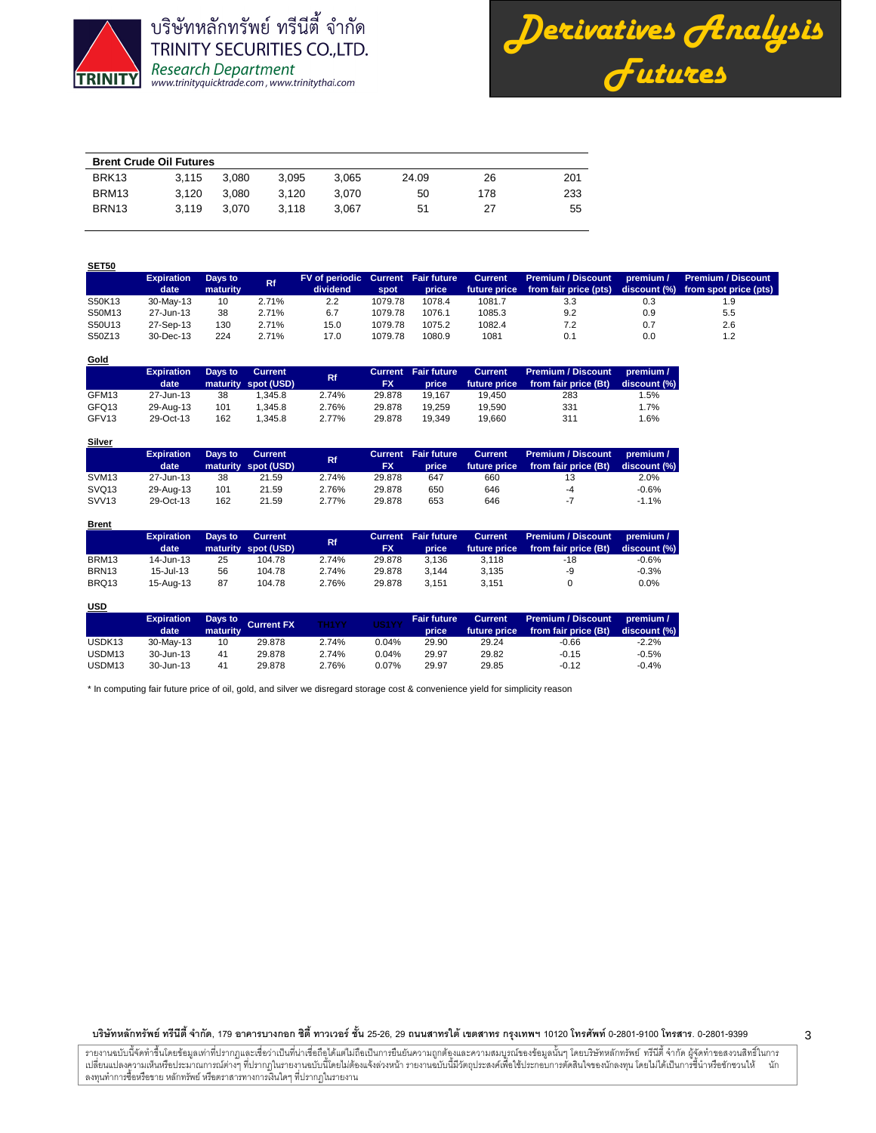

**SET50**

**Gold**

**Brent**

**USD**

บริษัทหลักทรัพย์ ทรีนีตี้ จำกัด TRINITY SECURITIES CO., LTD. Research Department<br>www.trinityquicktrade.com, www.trinitythai.com



| <b>Brent Crude Oil Futures</b> |       |       |       |       |       |     |     |  |  |  |  |
|--------------------------------|-------|-------|-------|-------|-------|-----|-----|--|--|--|--|
| BRK <sub>13</sub>              | 3.115 | 3.080 | 3.095 | 3.065 | 24.09 | 26  | 201 |  |  |  |  |
| BRM13                          | 3.120 | 3.080 | 3.120 | 3.070 | 50    | 178 | 233 |  |  |  |  |
| BRN <sub>13</sub>              | 3.119 | 3.070 | 3.118 | 3.067 | 51    | 27  | 55  |  |  |  |  |

| <b>JLIJU</b> |                           |                     |           |                                                |         |        |                                |                                                    |           |                                                                 |
|--------------|---------------------------|---------------------|-----------|------------------------------------------------|---------|--------|--------------------------------|----------------------------------------------------|-----------|-----------------------------------------------------------------|
|              | <b>Expiration</b><br>date | Days to<br>maturity | <b>Rf</b> | FV of periodic Current Fair future<br>dividend | spot    | price  | <b>Current</b><br>future price | <b>Premium / Discount</b><br>from fair price (pts) | premium / | <b>Premium / Discount</b><br>discount (%) from spot price (pts) |
| S50K13       | 30-May-13                 | 10                  | 2.71%     | 2.2                                            | 1079.78 | 1078.4 | 1081.7                         | 3.3                                                | 0.3       | 1.9                                                             |
| S50M13       | 27-Jun-13                 | 38                  | 2.71%     | 6.7                                            | 1079.78 | 1076.1 | 1085.3                         | 9.2                                                | 0.9       | 5.5                                                             |
| S50U13       | 27-Sep-13                 | 130                 | 2.71%     | 15.0                                           | 1079.78 | 1075.2 | 1082.4                         | 7.2                                                | 0.7       | 2.6                                                             |
| S50Z13       | $30 - Dec - 13$           | 224                 | 2.71%     | 17.0                                           | 1079.78 | 1080.9 | 1081                           | 0.1                                                | 0.0       | 1.2                                                             |

| $uu$  |                           |         |                                       |       |           |                                     |                                |                                                   |                           |
|-------|---------------------------|---------|---------------------------------------|-------|-----------|-------------------------------------|--------------------------------|---------------------------------------------------|---------------------------|
|       | <b>Expiration</b><br>date | Days to | <b>Current</b><br>maturity spot (USD) | Rf.   | <b>FX</b> | <b>Current</b> Fair future<br>price | <b>Current</b><br>future price | <b>Premium / Discount</b><br>from fair price (Bt) | premium /<br>discount (%) |
| GFM13 | 27-Jun-13                 | 38      | 1.345.8                               | 2.74% | 29.878    | 19.167                              | 19.450                         | 283                                               | 1.5%                      |
| GFQ13 | 29-Aug-13                 | 101     | 1.345.8                               | 2.76% | 29.878    | 19.259                              | 19.590                         | 331                                               | 1.7%                      |
| GFV13 | 29-Oct-13                 | 162     | 1.345.8                               | 2.77% | 29.878    | 19.349                              | 19.660                         | 311                                               | 1.6%                      |

| <b>Silver</b>     |                   |         |                     |       |           |                            |                |                      |              |
|-------------------|-------------------|---------|---------------------|-------|-----------|----------------------------|----------------|----------------------|--------------|
|                   | <b>Expiration</b> | Days to | Current             | Rf.   |           | <b>Current</b> Fair future | <b>Current</b> | Premium / Discount   | premium /    |
|                   | date              |         | maturity spot (USD) |       | <b>FX</b> | price                      | future price   | from fair price (Bt) | discount (%) |
| SVM <sub>13</sub> | 27-Jun-13         | 38      | 21.59               | 2.74% | 29.878    | 647                        | 660            |                      | 2.0%         |
| SVQ <sub>13</sub> | 29-Aug-13         | 101     | 21.59               | 2.76% | 29.878    | 650                        | 646            | -4                   | $-0.6%$      |
| SVV <sub>13</sub> | 29-Oct-13         | 162     | 21.59               | 2.77% | 29.878    | 653                        | 646            | $-7$                 | $-1.1%$      |

|                   | <b>Expiration</b><br>date | Days to | Current<br>maturity spot (USD) | Rf.   | <b>FX</b> | <b>Current</b> Fair future<br>price | <b>Current</b><br>future price | Premium / Discount<br>from fair price (Bt) | premium /<br>discount (%) |
|-------------------|---------------------------|---------|--------------------------------|-------|-----------|-------------------------------------|--------------------------------|--------------------------------------------|---------------------------|
| BRM13             | 14-Jun-13                 | 25      | 104.78                         | 2.74% | 29.878    | 3.136                               | 3.118                          | -18                                        | $-0.6%$                   |
| BRN <sub>13</sub> | $15 -$ Jul-13             | 56      | 104.78                         | 2.74% | 29.878    | 3.144                               | 3.135                          | -9                                         | $-0.3%$                   |
| BRQ13             | 15-Aug-13                 | 87      | 104.78                         | 2.76% | 29.878    | 3.151                               | 3.151                          |                                            | $0.0\%$                   |

| <u>USD</u>         |                           |          |                    |              |          |                             |                |                                                         |                           |
|--------------------|---------------------------|----------|--------------------|--------------|----------|-----------------------------|----------------|---------------------------------------------------------|---------------------------|
|                    | <b>Expiration</b><br>date | maturity | Days to Current FX | <b>TH1YY</b> | US1YY    | <b>Fair future</b><br>price | <b>Current</b> | Premium / Discount<br>future price from fair price (Bt) | premium /<br>discount (%) |
| USDK <sub>13</sub> | 30-May-13                 | 10       | 29.878             | 2.74%        | 0.04%    | 29.90                       | 29.24          | $-0.66$                                                 | $-2.2%$                   |
| USDM13             | 30-Jun-13                 | 41       | 29.878             | 2.74%        | 0.04%    | 29.97                       | 29.82          | $-0.15$                                                 | $-0.5%$                   |
| USDM <sub>13</sub> | 30-Jun-13                 | 41       | 29.878             | 2.76%        | $0.07\%$ | 29.97                       | 29.85          | $-0.12$                                                 | $-0.4%$                   |

\* In computing fair future price of oil, gold, and silver we disregard storage cost & convenience yield for simplicity reason

บริษัทหลักทรัพย์ ทรีนีตี้ จำกัด, 179 อาคารบางกอก ซิตี้ ทาวเวอร์ ชั้น 25-26, 29 ถนนสาทรใต้ เขตสาท กรุงเทพ 10120 โทรศาร 0-2801-9399 ความ 3399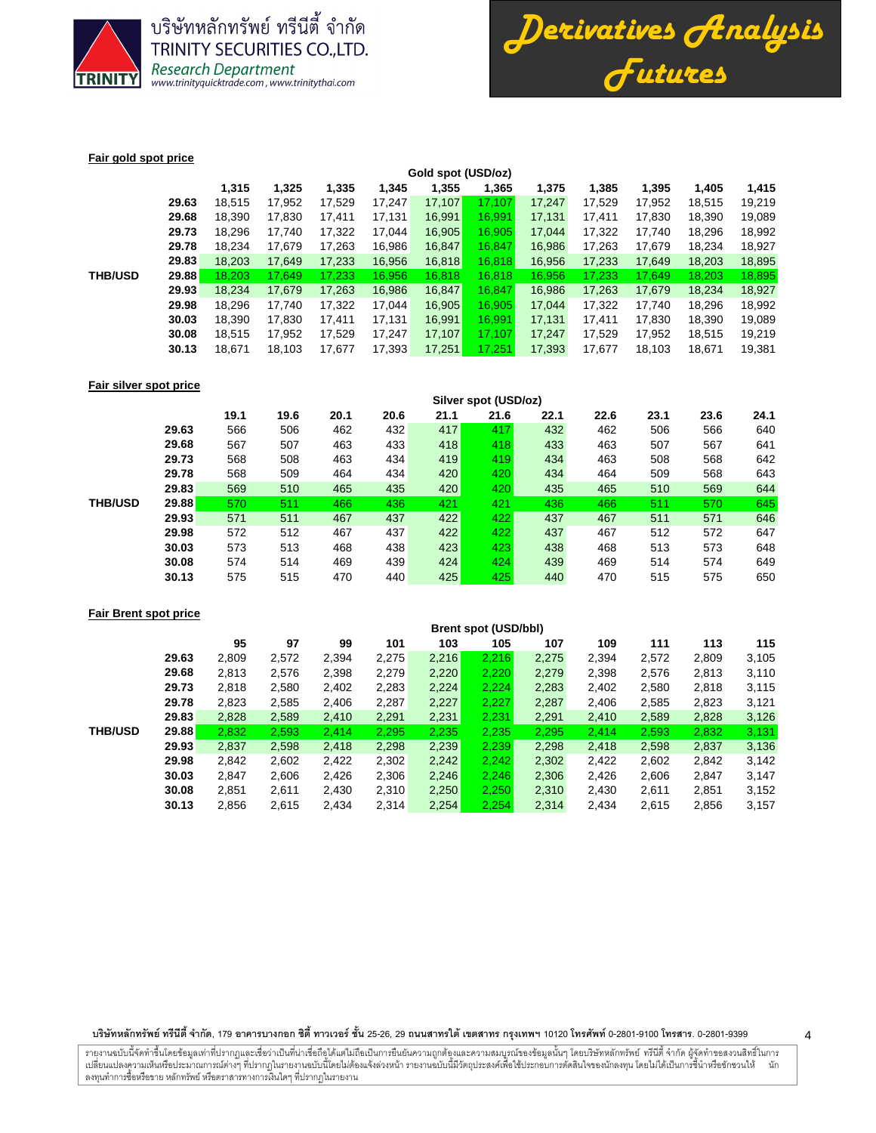

บริษัทหลักทรัพย์ ทรีนีตี้ จำกัด **TRINITY SECURITIES CO., LTD.** Research Department<br>www.trinityquicktrade.com, www.trinitythai.com



### **Fair gold spot price**

|                |              | Gold spot (USD/oz) |        |        |        |        |        |        |        |        |        |        |  |
|----------------|--------------|--------------------|--------|--------|--------|--------|--------|--------|--------|--------|--------|--------|--|
|                |              | 1,315              | 1,325  | 1,335  | 1,345  | 1,355  | 1,365  | 1,375  | 1.385  | 1,395  | 1,405  | 1,415  |  |
|                | 29.63        | 18.515             | 17.952 | 17,529 | 17,247 | 17,107 | 17,107 | 17,247 | 17.529 | 17,952 | 18,515 | 19,219 |  |
|                | 29.68        | 18.390             | 17,830 | 17,411 | 17.131 | 16,991 | 16.991 | 17,131 | 17.411 | 17.830 | 18,390 | 19,089 |  |
|                | 29.73        | 18.296             | 17.740 | 17,322 | 17.044 | 16,905 | 16.905 | 17.044 | 17.322 | 17.740 | 18.296 | 18,992 |  |
|                | 29.78        | 18.234             | 17.679 | 17.263 | 16.986 | 16,847 | 16.847 | 16.986 | 17.263 | 17.679 | 18.234 | 18,927 |  |
|                | 29.83        | 18,203             | 17,649 | 17,233 | 16,956 | 16,818 | 16,818 | 16,956 | 17,233 | 17,649 | 18,203 | 18,895 |  |
| <b>THB/USD</b> | <b>29.88</b> | 18.203             | 17.649 | 17,233 | 16,956 | 16.818 | 16,818 | 16.956 | 17.233 | 17.649 | 18,203 | 18,895 |  |
|                | 29.93        | 18.234             | 17.679 | 17,263 | 16,986 | 16,847 | 16.847 | 16.986 | 17,263 | 17,679 | 18,234 | 18,927 |  |
|                | 29.98        | 18,296             | 17.740 | 17,322 | 17.044 | 16,905 | 16.905 | 17,044 | 17,322 | 17,740 | 18,296 | 18,992 |  |
|                | 30.03        | 18.390             | 17.830 | 17.411 | 17.131 | 16,991 | 16.991 | 17,131 | 17.411 | 17.830 | 18.390 | 19,089 |  |
|                | 30.08        | 18.515             | 17,952 | 17,529 | 17,247 | 17,107 | 17.107 | 17,247 | 17.529 | 17,952 | 18,515 | 19,219 |  |
|                | 30.13        | 18,671             | 18,103 | 17,677 | 17,393 | 17,251 | 17.251 | 17,393 | 17,677 | 18,103 | 18,671 | 19,381 |  |
|                |              |                    |        |        |        |        |        |        |        |        |        |        |  |

### **Fair silver spot price**

|                |       | Silver spot (USD/oz) |      |      |      |      |      |      |      |      |      |      |
|----------------|-------|----------------------|------|------|------|------|------|------|------|------|------|------|
|                |       | 19.1                 | 19.6 | 20.1 | 20.6 | 21.1 | 21.6 | 22.1 | 22.6 | 23.1 | 23.6 | 24.1 |
|                | 29.63 | 566                  | 506  | 462  | 432  | 417  | 417  | 432  | 462  | 506  | 566  | 640  |
|                | 29.68 | 567                  | 507  | 463  | 433  | 418  | 418  | 433  | 463  | 507  | 567  | 641  |
|                | 29.73 | 568                  | 508  | 463  | 434  | 419  | 419  | 434  | 463  | 508  | 568  | 642  |
|                | 29.78 | 568                  | 509  | 464  | 434  | 420  | 420  | 434  | 464  | 509  | 568  | 643  |
|                | 29.83 | 569                  | 510  | 465  | 435  | 420  | 420  | 435  | 465  | 510  | 569  | 644  |
| <b>THB/USD</b> | 29.88 | 570                  | 511  | 466  | 436  | 421  | 421  | 436  | 466  | 511  | 570  | 645  |
|                | 29.93 | 571                  | 511  | 467  | 437  | 422  | 422  | 437  | 467  | 511  | 571  | 646  |
|                | 29.98 | 572                  | 512  | 467  | 437  | 422  | 422  | 437  | 467  | 512  | 572  | 647  |
|                | 30.03 | 573                  | 513  | 468  | 438  | 423  | 423  | 438  | 468  | 513  | 573  | 648  |
|                | 30.08 | 574                  | 514  | 469  | 439  | 424  | 424  | 439  | 469  | 514  | 574  | 649  |
|                | 30.13 | 575                  | 515  | 470  | 440  | 425  | 425  | 440  | 470  | 515  | 575  | 650  |

# **Fair Brent spot price**

|                |       | <b>Brent spot (USD/bbl)</b> |       |       |       |       |       |       |       |       |       |       |
|----------------|-------|-----------------------------|-------|-------|-------|-------|-------|-------|-------|-------|-------|-------|
|                |       | 95                          | 97    | 99    | 101   | 103   | 105   | 107   | 109   | 111   | 113   | 115   |
|                | 29.63 | 2,809                       | 2,572 | 2,394 | 2,275 | 2,216 | 2,216 | 2,275 | 2,394 | 2,572 | 2,809 | 3,105 |
|                | 29.68 | 2,813                       | 2,576 | 2,398 | 2,279 | 2,220 | 2,220 | 2,279 | 2,398 | 2,576 | 2,813 | 3,110 |
|                | 29.73 | 2,818                       | 2,580 | 2,402 | 2,283 | 2.224 | 2.224 | 2,283 | 2,402 | 2,580 | 2,818 | 3,115 |
|                | 29.78 | 2,823                       | 2,585 | 2,406 | 2,287 | 2,227 | 2.227 | 2,287 | 2,406 | 2,585 | 2,823 | 3,121 |
|                | 29.83 | 2,828                       | 2,589 | 2,410 | 2,291 | 2,231 | 2,231 | 2,291 | 2,410 | 2,589 | 2,828 | 3,126 |
| <b>THB/USD</b> | 29.88 | 2,832                       | 2,593 | 2,414 | 2,295 | 2,235 | 2,235 | 2,295 | 2,414 | 2,593 | 2,832 | 3,131 |
|                | 29.93 | 2,837                       | 2,598 | 2,418 | 2,298 | 2,239 | 2,239 | 2,298 | 2,418 | 2,598 | 2,837 | 3,136 |
|                | 29.98 | 2,842                       | 2,602 | 2,422 | 2,302 | 2,242 | 2,242 | 2,302 | 2,422 | 2,602 | 2,842 | 3,142 |
|                | 30.03 | 2,847                       | 2,606 | 2,426 | 2,306 | 2,246 | 2,246 | 2,306 | 2,426 | 2,606 | 2,847 | 3,147 |
|                | 30.08 | 2,851                       | 2,611 | 2,430 | 2,310 | 2,250 | 2,250 | 2,310 | 2,430 | 2,611 | 2,851 | 3,152 |
|                | 30.13 | 2,856                       | 2,615 | 2,434 | 2,314 | 2,254 | 2,254 | 2,314 | 2,434 | 2,615 | 2,856 | 3,157 |
|                |       |                             |       |       |       |       |       |       |       |       |       |       |

บริษัทหลักทรัพย์ ทรีนีตี้ จำกัด, 179 อาคารบางกอก ซิตี้ ทาวเวอร์ ชั้น 25-26, 29 ถนนสาทรใต้ เขตสาท กรุงเทพ 10120 โทรศาร 0-2801-9399 ความ 3399